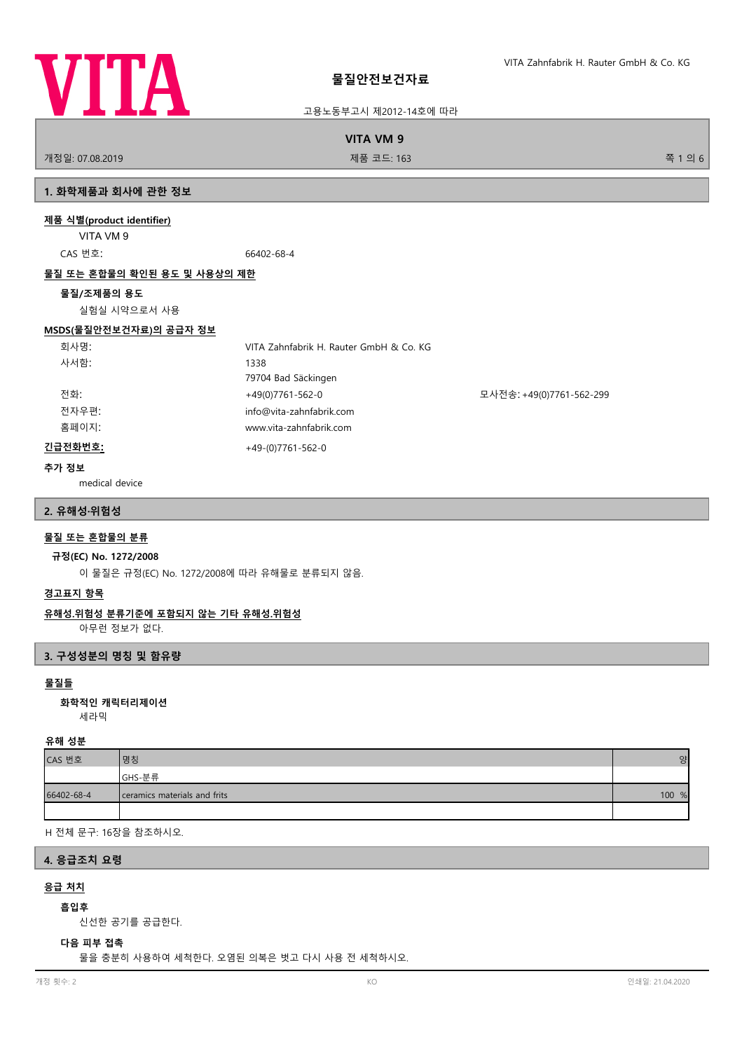

고용노동부고시 제2012-14호에 따라

**VITA VM 9**

개정일: 07.08.2019 제품 코드: 163 쪽 1 의 6

# **1. 화학제품과 회사에 관한 정보**

# **제품 식별(product identifier)**

VITA VM 9

CAS 번호: 66402-68-4

#### **물질 또는 혼합물의 확인된 용도 및 사용상의 제한**

#### **물질/조제품의 용도**

실험실 시약으로서 사용

# **MSDS(물질안전보건자료)의 공급자 정보**

| 회사명:    | VITA Zahnfabrik H. Rauter GmbH & Co. KG |                          |
|---------|-----------------------------------------|--------------------------|
| 사서함:    | 1338                                    |                          |
|         | 79704 Bad Säckingen                     |                          |
| 전화:     | $+49(0)7761-562-0$                      | 모사전송: +49(0)7761-562-299 |
| 전자우편:   | info@vita-zahnfabrik.com                |                          |
| 홈페이지:   | www.vita-zahnfabrik.com                 |                          |
| 긴급전화번호: | $+49-(0)7761-562-0$                     |                          |

#### **추가 정보**

medical device

## **2. 유해성·위험성**

# **물질 또는 혼합물의 분류**

#### **규정(EC) No. 1272/2008**

이 물질은 규정(EC) No. 1272/2008에 따라 유해물로 분류되지 않음.

## **경고표지 항목**

# **유해성.위험성 분류기준에 포함되지 않는 기타 유해성.위험성**

아무런 정보가 없다.

## **3. 구성성분의 명칭 및 함유량**

# **물질들**

세라믹 **화학적인 캐릭터리제이션**

#### **유해 성분**

| CAS 번호     | 명칭                           | 양     |
|------------|------------------------------|-------|
|            | GHS-분류                       |       |
| 66402-68-4 | ceramics materials and frits | 100 % |
|            |                              |       |

H 전체 문구: 16장을 참조하시오.

# **4. 응급조치 요령**

# **응급 처치**

# **흡입후**

신선한 공기를 공급한다.

# **다음 피부 접촉**

물을 충분히 사용하여 세척한다. 오염된 의복은 벗고 다시 사용 전 세척하시오.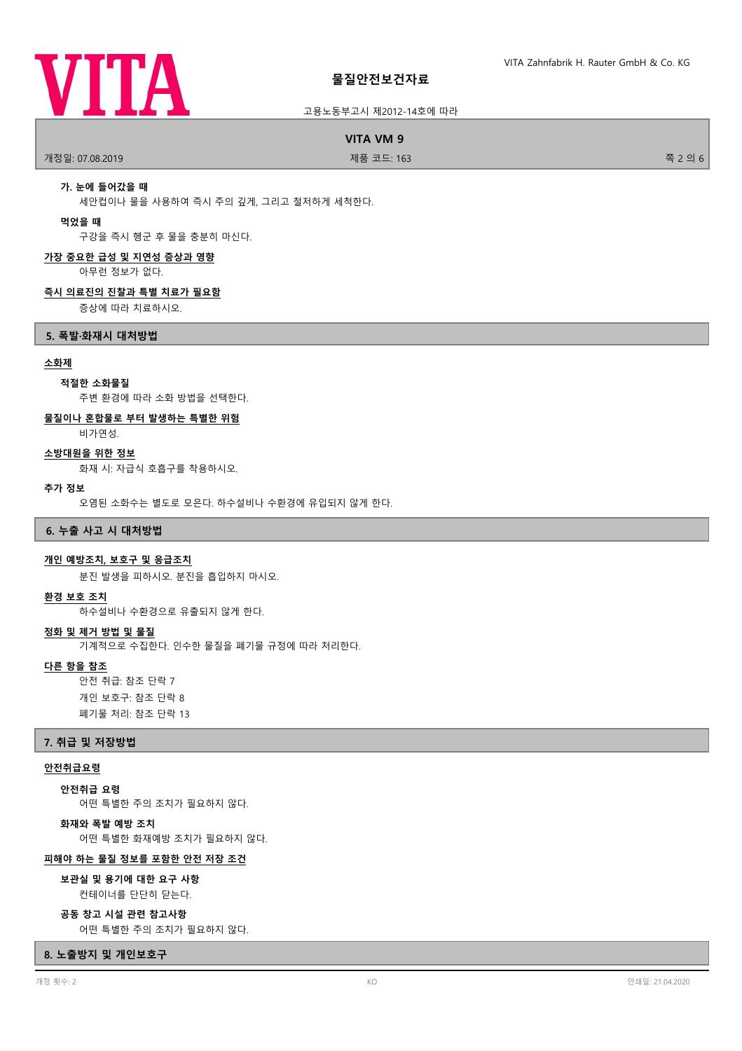

#### 고용노동부고시 제2012-14호에 따라

#### **VITA VM 9**

개정일: 07.08.2019 제품 코드: 163 쪽 2 의 6

# **가. 눈에 들어갔을 때**

세안컵이나 물을 사용하여 즉시 주의 깊게, 그리고 철저하게 세척한다.

#### **먹었을 때**

구강을 즉시 헹군 후 물을 충분히 마신다.

# **가장 중요한 급성 및 지연성 증상과 영향**

아무런 정보가 없다.

#### **즉시 의료진의 진찰과 특별 치료가 필요함**

증상에 따라 치료하시오.

#### **5. 폭발·화재시 대처방법**

#### **소화제**

#### **적절한 소화물질**

주변 환경에 따라 소화 방법을 선택한다.

## **물질이나 혼합물로 부터 발생하는 특별한 위험**

비가연성.

# **소방대원을 위한 정보**

화재 시: 자급식 호흡구를 착용하시오.

#### **추가 정보**

오염된 소화수는 별도로 모은다. 하수설비나 수환경에 유입되지 않게 한다.

#### **6. 누출 사고 시 대처방법**

#### **개인 예방조치, 보호구 및 응급조치**

분진 발생을 피하시오. 분진을 흡입하지 마시오.

#### **환경 보호 조치**

하수설비나 수환경으로 유출되지 않게 한다.

#### **정화 및 제거 방법 및 물질**

기계적으로 수집한다. 인수한 물질을 폐기물 규정에 따라 처리한다.

#### **다른 항을 참조**

안전 취급: 참조 단락 7 개인 보호구: 참조 단락 8 폐기물 처리: 참조 단락 13

#### **7. 취급 및 저장방법**

#### **안전취급요령**

**안전취급 요령**

어떤 특별한 주의 조치가 필요하지 않다.

# **화재와 폭발 예방 조치**

어떤 특별한 화재예방 조치가 필요하지 않다.

#### **피해야 하는 물질 정보를 포함한 안전 저장 조건**

컨테이너를 단단히 닫는다. **보관실 및 용기에 대한 요구 사항**

#### **공동 창고 시설 관련 참고사항**

어떤 특별한 주의 조치가 필요하지 않다.

# **8. 노출방지 및 개인보호구**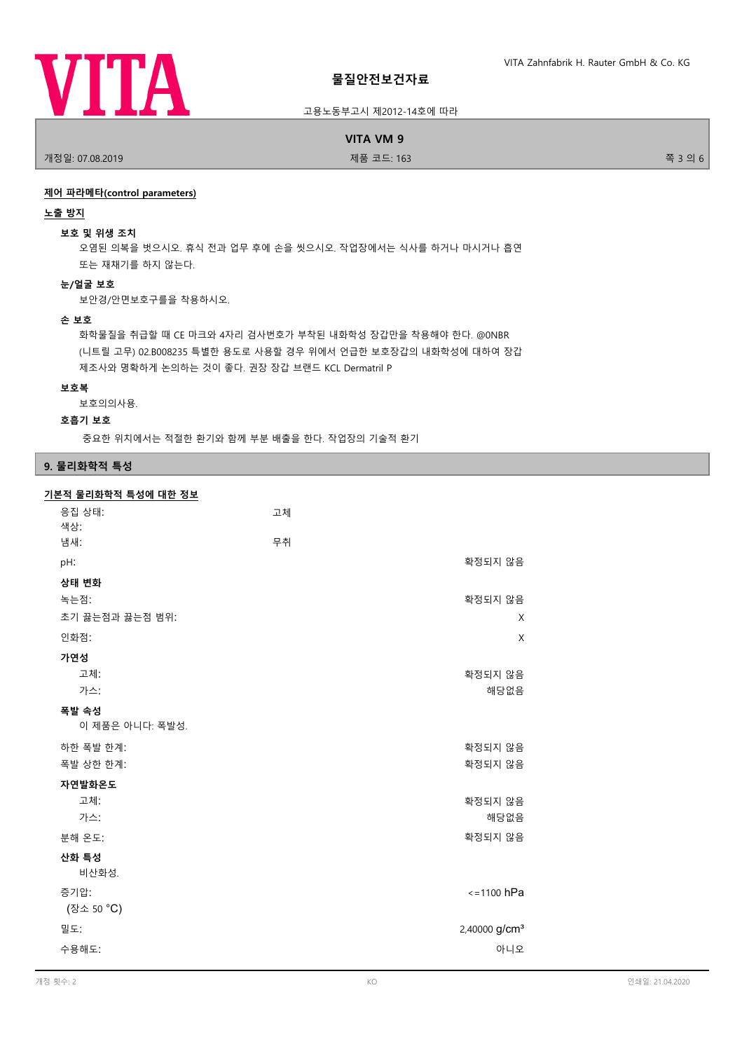

#### 고용노동부고시 제2012-14호에 따라

# **VITA VM 9**

개정일: 07.08.2019 제품 코드: 163 쪽 3 의 6

#### **제어 파라메타(control parameters)**

#### **노출 방지**

#### **보호 및 위생 조치**

오염된 의복을 벗으시오. 휴식 전과 업무 후에 손을 씻으시오. 작업장에서는 식사를 하거나 마시거나 흡연 또는 재채기를 하지 않는다.

# **눈/얼굴 보호**

보안경/안면보호구를을 착용하시오.

# **손 보호**

화학물질을 취급할 때 CE 마크와 4자리 검사번호가 부착된 내화학성 장갑만을 착용해야 한다. @0NBR (니트릴 고무) 02.B008235 특별한 용도로 사용할 경우 위에서 언급한 보호장갑의 내화학성에 대하여 장갑 제조사와 명확하게 논의하는 것이 좋다. 권장 장갑 브랜드 KCL Dermatril P

#### **보호복**

보호의의사용.

#### **호흡기 보호**

중요한 위치에서는 적절한 환기와 함께 부분 배출을 한다. 작업장의 기술적 환기

#### **9. 물리화학적 특성**

# **기본적 물리화학적 특성에 대한 정보**

| 응집 상태:<br>색상:   | 고체                        |
|-----------------|---------------------------|
| 냄새:             | 무취                        |
| pH:             | 확정되지 않음                   |
| 상태 변화           |                           |
| 녹는점:            | 확정되지 않음                   |
| 초기 끓는점과 끓는점 범위: | X                         |
| 인화점:            | X                         |
| 가연성             |                           |
| 고체:             | 확정되지 않음                   |
| 가스:             | 해당없음                      |
| 폭발 속성           |                           |
| 이 제품은 아니다: 폭발성. |                           |
| 하한 폭발 한계:       | 확정되지 않음                   |
| 폭발 상한 한계:       | 확정되지 않음                   |
| 자연발화온도          |                           |
| 고체:             | 확정되지 않음                   |
| 가스:             | 해당없음                      |
| 분해 온도:          | 확정되지 않음                   |
| 산화 특성<br>비산화성.  |                           |
| 증기압:            | $\le$ =1100 hPa           |
| (장소 50 °C)      |                           |
| 밀도:             | 2,40000 g/cm <sup>3</sup> |
| 수용해도:           | 아니오                       |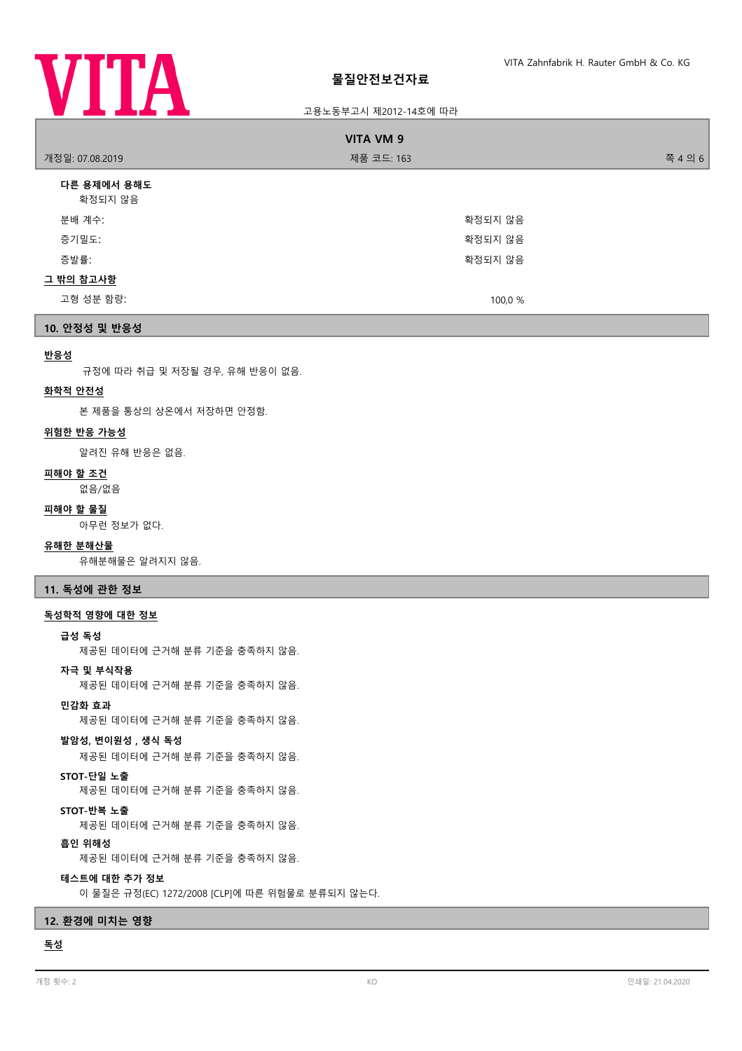

# 고용노동부고시 제2012-14호에 따라

| <b>VITA VM 9</b>       |            |         |  |
|------------------------|------------|---------|--|
| 개정일: 07.08.2019        | 제품 코드: 163 | 쪽 4 의 6 |  |
| 다른 용제에서 용해도<br>확정되지 않음 |            |         |  |
| 분배 계수:                 | 확정되지 않음    |         |  |
| 증기밀도:                  | 확정되지 않음    |         |  |
| 증발률:                   | 확정되지 않음    |         |  |
| 그 밖의 참고사항              |            |         |  |
| 고형 성분 함량:              | 100,0 %    |         |  |
|                        |            |         |  |

# **10. 안정성 및 반응성**

#### **반응성**

규정에 따라 취급 및 저장될 경우, 유해 반응이 없음.

#### **화학적 안전성**

본 제품을 통상의 상온에서 저장하면 안정함.

# **위험한 반응 가능성**

알려진 유해 반응은 없음.

# **피해야 할 조건**

없음/없음

# **피해야 할 물질**

아무런 정보가 없다.

#### **유해한 분해산물**

유해분해물은 알려지지 않음.

**11. 독성에 관한 정보**

#### **독성학적 영향에 대한 정보**

#### **급성 독성**

제공된 데이터에 근거해 분류 기준을 충족하지 않음.

#### **자극 및 부식작용**

제공된 데이터에 근거해 분류 기준을 충족하지 않음.

# **민감화 효과**

제공된 데이터에 근거해 분류 기준을 충족하지 않음.

# **발암성, 변이원성 , 생식 독성**

제공된 데이터에 근거해 분류 기준을 충족하지 않음.

# **STOT-단일 노출**

제공된 데이터에 근거해 분류 기준을 충족하지 않음.

# **STOT-반복 노출**

제공된 데이터에 근거해 분류 기준을 충족하지 않음.

# **흡인 위해성**

제공된 데이터에 근거해 분류 기준을 충족하지 않음.

# **테스트에 대한 추가 정보**

이 물질은 규정(EC) 1272/2008 [CLP]에 따른 위험물로 분류되지 않는다.

# **12. 환경에 미치는 영향**

# **독성**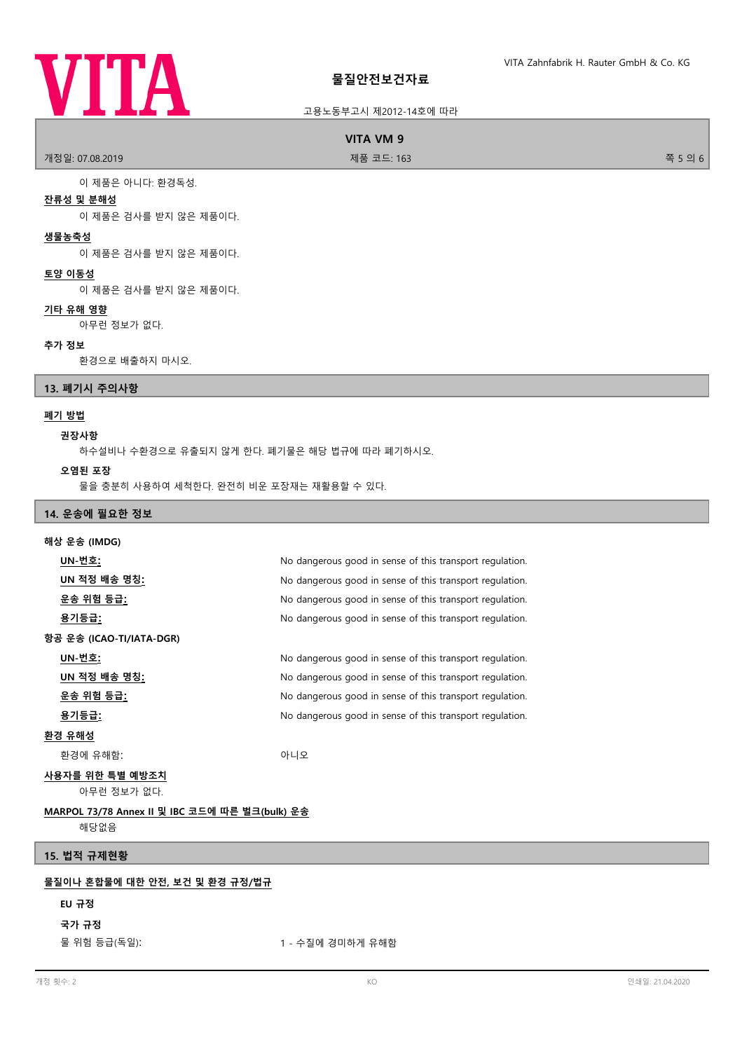# **VITA**

# **물질안전보건자료**

# 고용노동부고시 제2012-14호에 따라

# **VITA VM 9**

개정일: 07.08.2019 제품 코드: 163 쪽 5 의 6

이 제품은 아니다: 환경독성.

# **잔류성 및 분해성**

이 제품은 검사를 받지 않은 제품이다.

## **생물농축성**

이 제품은 검사를 받지 않은 제품이다.

# **토양 이동성**

이 제품은 검사를 받지 않은 제품이다.

# **기타 유해 영향**

아무런 정보가 없다.

#### **추가 정보**

환경으로 배출하지 마시오.

# **13. 폐기시 주의사항**

# **폐기 방법**

# **권장사항**

하수설비나 수환경으로 유출되지 않게 한다. 폐기물은 해당 법규에 따라 폐기하시오.

#### **오염된 포장**

물을 충분히 사용하여 세척한다. 완전히 비운 포장재는 재활용할 수 있다.

# **14. 운송에 필요한 정보**

| 해상 운송 (IMDG)                                   |                                                          |  |
|------------------------------------------------|----------------------------------------------------------|--|
| UN-번호 <u>:</u>                                 | No dangerous good in sense of this transport regulation. |  |
| <u>UN 적정 배송 명칭:</u>                            | No dangerous good in sense of this transport regulation. |  |
| <u>운송 위험 등급:</u>                               | No dangerous good in sense of this transport regulation. |  |
| <u>용기등급:</u>                                   | No dangerous good in sense of this transport regulation. |  |
| 항공 운송 (ICAO-TI/IATA-DGR)                       |                                                          |  |
| <u> UN-번호:</u>                                 | No dangerous good in sense of this transport regulation. |  |
| <u>UN 적정 배송 명칭:</u>                            | No dangerous good in sense of this transport regulation. |  |
| <u>운송 위험 등급:</u>                               | No dangerous good in sense of this transport regulation. |  |
| <u>용기등급:</u>                                   | No dangerous good in sense of this transport regulation. |  |
| <u>환경 유해성</u>                                  |                                                          |  |
| 환경에 유해함:                                       | 아니오                                                      |  |
| 사용자를 위한 특별 예방조치<br>아무런 정보가 없다.                 |                                                          |  |
| MARPOL 73/78 Annex II 및 IBC 코드에 따른 벌크(bulk) 운송 |                                                          |  |
| 해당없음                                           |                                                          |  |
| 15. 법적 규제현황                                    |                                                          |  |
| 물질이나 혼합물에 대한 안전, 보건 및 환경 규정/법규                 |                                                          |  |

#### **EU 규정**

# **국가 규정**

물 위험 등급(독일): 1 - 수질에 경미하게 유해함